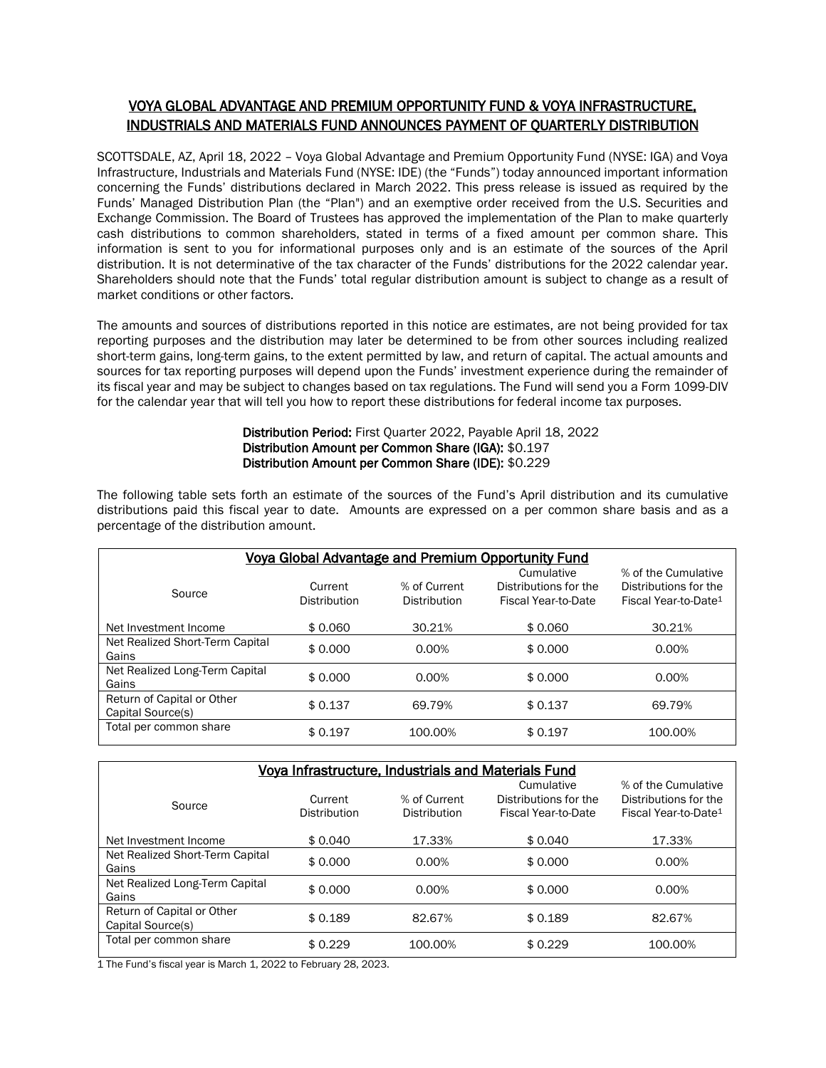# VOYA GLOBAL ADVANTAGE AND PREMIUM OPPORTUNITY FUND & VOYA INFRASTRUCTURE, INDUSTRIALS AND MATERIALS FUND ANNOUNCES PAYMENT OF QUARTERLY DISTRIBUTION

SCOTTSDALE, AZ, April 18, 2022 – Voya Global Advantage and Premium Opportunity Fund (NYSE: IGA) and Voya Infrastructure, Industrials and Materials Fund (NYSE: IDE) (the "Funds") today announced important information concerning the Funds' distributions declared in March 2022. This press release is issued as required by the Funds' Managed Distribution Plan (the "Plan") and an exemptive order received from the U.S. Securities and Exchange Commission. The Board of Trustees has approved the implementation of the Plan to make quarterly cash distributions to common shareholders, stated in terms of a fixed amount per common share. This information is sent to you for informational purposes only and is an estimate of the sources of the April distribution. It is not determinative of the tax character of the Funds' distributions for the 2022 calendar year. Shareholders should note that the Funds' total regular distribution amount is subject to change as a result of market conditions or other factors.

The amounts and sources of distributions reported in this notice are estimates, are not being provided for tax reporting purposes and the distribution may later be determined to be from other sources including realized short-term gains, long-term gains, to the extent permitted by law, and return of capital. The actual amounts and sources for tax reporting purposes will depend upon the Funds' investment experience during the remainder of its fiscal year and may be subject to changes based on tax regulations. The Fund will send you a Form 1099-DIV for the calendar year that will tell you how to report these distributions for federal income tax purposes.

## Distribution Period: First Quarter 2022, Payable April 18, 2022 Distribution Amount per Common Share (IGA): \$0.197 Distribution Amount per Common Share (IDE): \$0.229

The following table sets forth an estimate of the sources of the Fund's April distribution and its cumulative distributions paid this fiscal year to date. Amounts are expressed on a per common share basis and as a percentage of the distribution amount.

| <b>Voya Global Advantage and Premium Opportunity Fund</b> |                                |                                     |                                                            |                                                                                  |  |  |
|-----------------------------------------------------------|--------------------------------|-------------------------------------|------------------------------------------------------------|----------------------------------------------------------------------------------|--|--|
| Source                                                    | Current<br><b>Distribution</b> | % of Current<br><b>Distribution</b> | Cumulative<br>Distributions for the<br>Fiscal Year-to-Date | % of the Cumulative<br>Distributions for the<br>Fiscal Year-to-Date <sup>1</sup> |  |  |
| Net Investment Income                                     | \$0.060                        | 30.21%                              | \$0.060                                                    | 30.21%                                                                           |  |  |
| Net Realized Short-Term Capital<br>Gains                  | \$0.000                        | 0.00%                               | \$0.000                                                    | $0.00\%$                                                                         |  |  |
| Net Realized Long-Term Capital<br>Gains                   | \$0.000                        | 0.00%                               | \$0.000                                                    | $0.00\%$                                                                         |  |  |
| Return of Capital or Other<br>Capital Source(s)           | \$0.137                        | 69.79%                              | \$0.137                                                    | 69.79%                                                                           |  |  |
| Total per common share                                    | \$0.197                        | 100.00%                             | \$0.197                                                    | 100.00%                                                                          |  |  |

| Voya Infrastructure, Industrials and Materials Fund |                                |                                     |                                                            |                                                                                  |  |  |  |
|-----------------------------------------------------|--------------------------------|-------------------------------------|------------------------------------------------------------|----------------------------------------------------------------------------------|--|--|--|
| Source                                              | Current<br><b>Distribution</b> | % of Current<br><b>Distribution</b> | Cumulative<br>Distributions for the<br>Fiscal Year-to-Date | % of the Cumulative<br>Distributions for the<br>Fiscal Year-to-Date <sup>1</sup> |  |  |  |
| Net Investment Income                               | \$0.040                        | 17.33%                              | \$0.040                                                    | 17.33%                                                                           |  |  |  |
| Net Realized Short-Term Capital<br>Gains            | \$0.000                        | 0.00%                               | \$0.000                                                    | $0.00\%$                                                                         |  |  |  |
| Net Realized Long-Term Capital<br>Gains             | \$0.000                        | 0.00%                               | \$0.000                                                    | $0.00\%$                                                                         |  |  |  |
| Return of Capital or Other<br>Capital Source(s)     | \$0.189                        | 82.67%                              | \$0.189                                                    | 82.67%                                                                           |  |  |  |
| Total per common share                              | \$0.229                        | 100.00%                             | \$0.229                                                    | 100.00%                                                                          |  |  |  |

1 The Fund's fiscal year is March 1, 2022 to February 28, 2023.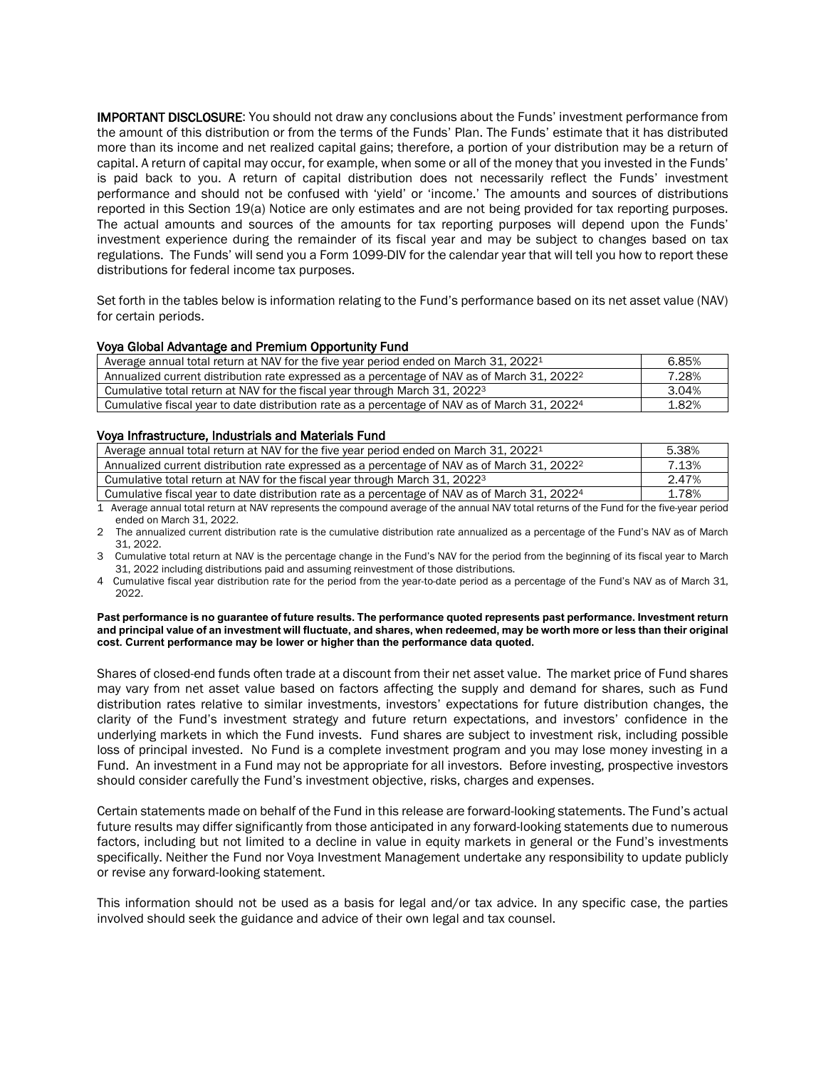IMPORTANT DISCLOSURE: You should not draw any conclusions about the Funds' investment performance from the amount of this distribution or from the terms of the Funds' Plan. The Funds' estimate that it has distributed more than its income and net realized capital gains; therefore, a portion of your distribution may be a return of capital. A return of capital may occur, for example, when some or all of the money that you invested in the Funds' is paid back to you. A return of capital distribution does not necessarily reflect the Funds' investment performance and should not be confused with 'yield' or 'income.' The amounts and sources of distributions reported in this Section 19(a) Notice are only estimates and are not being provided for tax reporting purposes. The actual amounts and sources of the amounts for tax reporting purposes will depend upon the Funds' investment experience during the remainder of its fiscal year and may be subject to changes based on tax regulations. The Funds' will send you a Form 1099-DIV for the calendar year that will tell you how to report these distributions for federal income tax purposes.

Set forth in the tables below is information relating to the Fund's performance based on its net asset value (NAV) for certain periods.

### Voya Global Advantage and Premium Opportunity Fund

| Average annual total return at NAV for the five year period ended on March 31, 2022 <sup>1</sup>          |       |  |
|-----------------------------------------------------------------------------------------------------------|-------|--|
| Annualized current distribution rate expressed as a percentage of NAV as of March 31, 2022 <sup>2</sup>   | 7.28% |  |
| Cumulative total return at NAV for the fiscal year through March 31, 2022 <sup>3</sup>                    | 3.04% |  |
| Cumulative fiscal year to date distribution rate as a percentage of NAV as of March 31, 2022 <sup>4</sup> | 1.82% |  |

### Voya Infrastructure, Industrials and Materials Fund

| Average annual total return at NAV for the five year period ended on March 31, 2022 <sup>1</sup>          |       |
|-----------------------------------------------------------------------------------------------------------|-------|
| Annualized current distribution rate expressed as a percentage of NAV as of March 31, 2022 <sup>2</sup>   | 7.13% |
| Cumulative total return at NAV for the fiscal year through March 31, 2022 <sup>3</sup>                    | 2.47% |
| Cumulative fiscal year to date distribution rate as a percentage of NAV as of March 31, 2022 <sup>4</sup> | 1.78% |

1 Average annual total return at NAV represents the compound average of the annual NAV total returns of the Fund for the five-year period ended on March 31, 2022.

2 The annualized current distribution rate is the cumulative distribution rate annualized as a percentage of the Fund's NAV as of March 31, 2022.

3 Cumulative total return at NAV is the percentage change in the Fund's NAV for the period from the beginning of its fiscal year to March 31, 2022 including distributions paid and assuming reinvestment of those distributions.

4 Cumulative fiscal year distribution rate for the period from the year-to-date period as a percentage of the Fund's NAV as of March 31, 2022.

#### **Past performance is no guarantee of future results. The performance quoted represents past performance. Investment return and principal value of an investment will fluctuate, and shares, when redeemed, may be worth more or less than their original cost. Current performance may be lower or higher than the performance data quoted.**

Shares of closed-end funds often trade at a discount from their net asset value. The market price of Fund shares may vary from net asset value based on factors affecting the supply and demand for shares, such as Fund distribution rates relative to similar investments, investors' expectations for future distribution changes, the clarity of the Fund's investment strategy and future return expectations, and investors' confidence in the underlying markets in which the Fund invests. Fund shares are subject to investment risk, including possible loss of principal invested. No Fund is a complete investment program and you may lose money investing in a Fund. An investment in a Fund may not be appropriate for all investors. Before investing, prospective investors should consider carefully the Fund's investment objective, risks, charges and expenses.

Certain statements made on behalf of the Fund in this release are forward-looking statements. The Fund's actual future results may differ significantly from those anticipated in any forward-looking statements due to numerous factors, including but not limited to a decline in value in equity markets in general or the Fund's investments specifically. Neither the Fund nor Voya Investment Management undertake any responsibility to update publicly or revise any forward-looking statement.

This information should not be used as a basis for legal and/or tax advice. In any specific case, the parties involved should seek the guidance and advice of their own legal and tax counsel.